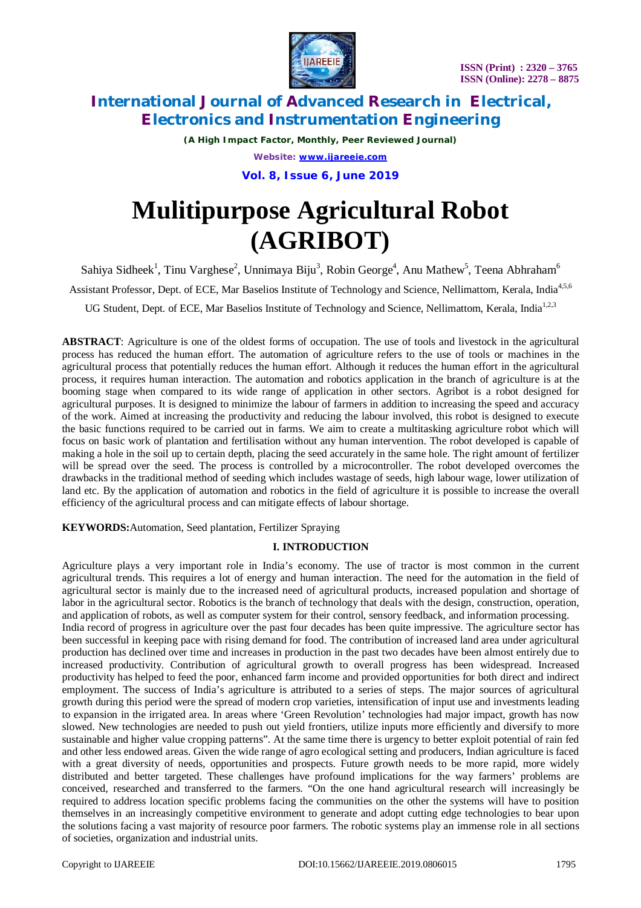

*(A High Impact Factor, Monthly, Peer Reviewed Journal)*

*Website: [www.ijareeie.com](http://www.ijareeie.com)*

**Vol. 8, Issue 6, June 2019**

# **Mulitipurpose Agricultural Robot (AGRIBOT)**

Sahiya Sidheek<sup>1</sup>, Tinu Varghese<sup>2</sup>, Unnimaya Biju<sup>3</sup>, Robin George<sup>4</sup>, Anu Mathew<sup>5</sup>, Teena Abhraham<sup>6</sup>

Assistant Professor, Dept. of ECE, Mar Baselios Institute of Technology and Science, Nellimattom, Kerala, India<sup>4,5,6</sup>

UG Student, Dept. of ECE, Mar Baselios Institute of Technology and Science, Nellimattom, Kerala, India<sup>1,2,3</sup>

**ABSTRACT**: Agriculture is one of the oldest forms of occupation. The use of tools and livestock in the agricultural process has reduced the human effort. The automation of agriculture refers to the use of tools or machines in the agricultural process that potentially reduces the human effort. Although it reduces the human effort in the agricultural process, it requires human interaction. The automation and robotics application in the branch of agriculture is at the booming stage when compared to its wide range of application in other sectors. Agribot is a robot designed for agricultural purposes. It is designed to minimize the labour of farmers in addition to increasing the speed and accuracy of the work. Aimed at increasing the productivity and reducing the labour involved, this robot is designed to execute the basic functions required to be carried out in farms. We aim to create a multitasking agriculture robot which will focus on basic work of plantation and fertilisation without any human intervention. The robot developed is capable of making a hole in the soil up to certain depth, placing the seed accurately in the same hole. The right amount of fertilizer will be spread over the seed. The process is controlled by a microcontroller. The robot developed overcomes the drawbacks in the traditional method of seeding which includes wastage of seeds, high labour wage, lower utilization of land etc. By the application of automation and robotics in the field of agriculture it is possible to increase the overall efficiency of the agricultural process and can mitigate effects of labour shortage.

**KEYWORDS:**Automation, Seed plantation, Fertilizer Spraying

### **I. INTRODUCTION**

Agriculture plays a very important role in India's economy. The use of tractor is most common in the current agricultural trends. This requires a lot of energy and human interaction. The need for the automation in the field of agricultural sector is mainly due to the increased need of agricultural products, increased population and shortage of labor in the agricultural sector. Robotics is the branch of technology that deals with the design, construction, operation, and application of robots, as well as computer system for their control, sensory feedback, and information processing. India record of progress in agriculture over the past four decades has been quite impressive. The agriculture sector has been successful in keeping pace with rising demand for food. The contribution of increased land area under agricultural production has declined over time and increases in production in the past two decades have been almost entirely due to increased productivity. Contribution of agricultural growth to overall progress has been widespread. Increased productivity has helped to feed the poor, enhanced farm income and provided opportunities for both direct and indirect employment. The success of India's agriculture is attributed to a series of steps. The major sources of agricultural growth during this period were the spread of modern crop varieties, intensification of input use and investments leading to expansion in the irrigated area. In areas where 'Green Revolution' technologies had major impact, growth has now slowed. New technologies are needed to push out yield frontiers, utilize inputs more efficiently and diversify to more sustainable and higher value cropping patterns". At the same time there is urgency to better exploit potential of rain fed and other less endowed areas. Given the wide range of agro ecological setting and producers, Indian agriculture is faced with a great diversity of needs, opportunities and prospects. Future growth needs to be more rapid, more widely distributed and better targeted. These challenges have profound implications for the way farmers' problems are conceived, researched and transferred to the farmers. "On the one hand agricultural research will increasingly be required to address location specific problems facing the communities on the other the systems will have to position themselves in an increasingly competitive environment to generate and adopt cutting edge technologies to bear upon the solutions facing a vast majority of resource poor farmers. The robotic systems play an immense role in all sections of societies, organization and industrial units.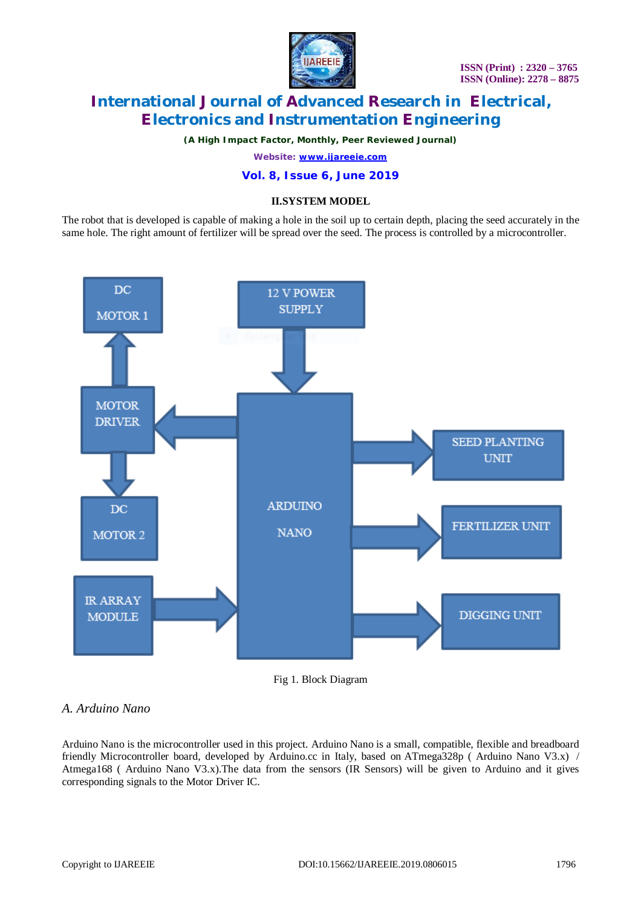

*(A High Impact Factor, Monthly, Peer Reviewed Journal)*

*Website: [www.ijareeie.com](http://www.ijareeie.com)*

#### **Vol. 8, Issue 6, June 2019**

#### **II.SYSTEM MODEL**

The robot that is developed is capable of making a hole in the soil up to certain depth, placing the seed accurately in the same hole. The right amount of fertilizer will be spread over the seed. The process is controlled by a microcontroller.



Fig 1. Block Diagram

### *A. Arduino Nano*

Arduino Nano is the microcontroller used in this project. Arduino Nano is a small, compatible, flexible and breadboard friendly Microcontroller board, developed by Arduino.cc in Italy, based on ATmega328p ( Arduino Nano V3.x) / Atmega168 ( Arduino Nano V3.x).The data from the sensors (IR Sensors) will be given to Arduino and it gives corresponding signals to the Motor Driver IC.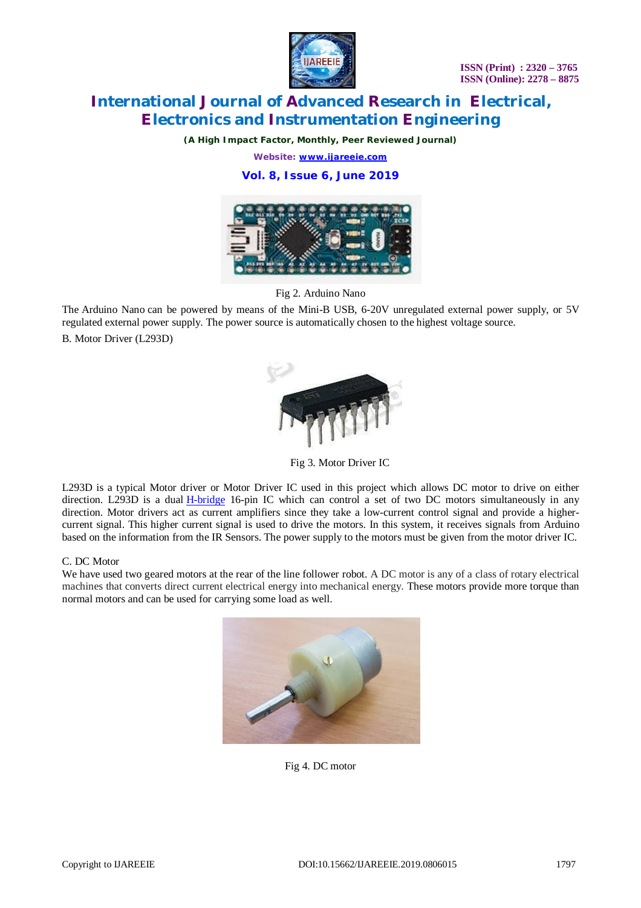

*(A High Impact Factor, Monthly, Peer Reviewed Journal)*

*Website: [www.ijareeie.com](http://www.ijareeie.com)*

**Vol. 8, Issue 6, June 2019**



Fig 2. Arduino Nano

The Arduino Nano can be powered by means of the Mini-B USB, 6-20V unregulated external power supply, or 5V regulated external power supply. The power source is automatically chosen to the highest voltage source. B. Motor Driver (L293D)



Fig 3. Motor Driver IC

L293D is a typical Motor driver or Motor Driver IC used in this project which allows DC motor to drive on either direction. L293D is a dual H-bridge 16-pin IC which can control a set of two DC motors simultaneously in any direction. Motor drivers act as current amplifiers since they take a low-current control signal and provide a highercurrent signal. This higher current signal is used to drive the motors. In this system, it receives signals from Arduino based on the information from the IR Sensors. The power supply to the motors must be given from the motor driver IC.

#### C. DC Motor

We have used two geared motors at the rear of the line follower robot. A DC motor is any of a class of rotary electrical machines that converts direct current electrical energy into mechanical energy. These motors provide more torque than normal motors and can be used for carrying some load as well.



Fig 4. DC motor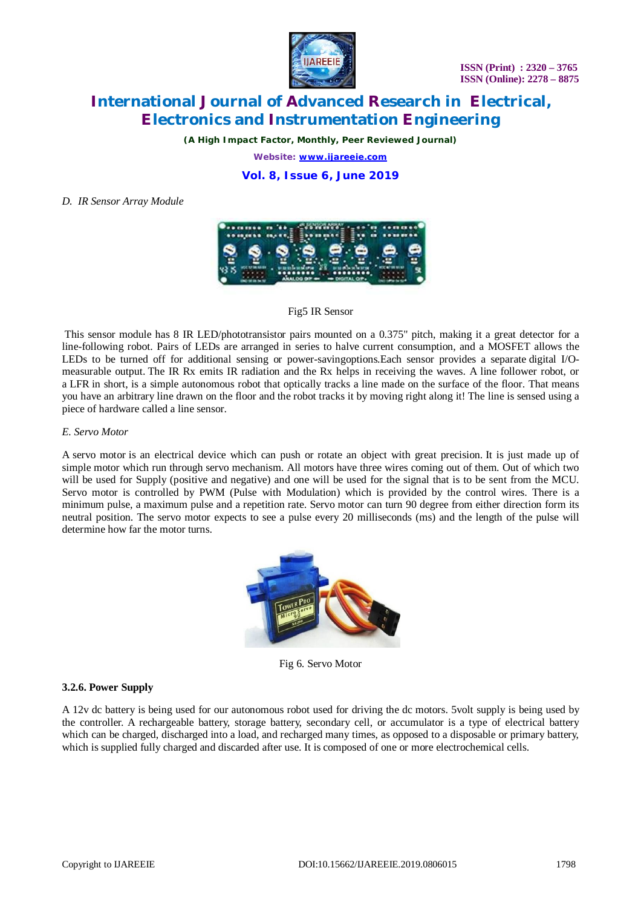

*(A High Impact Factor, Monthly, Peer Reviewed Journal)*

*Website: [www.ijareeie.com](http://www.ijareeie.com)*

**Vol. 8, Issue 6, June 2019**

*D. IR Sensor Array Module*



Fig5 IR Sensor

This sensor module has 8 IR LED/phototransistor pairs mounted on a 0.375" pitch, making it a great detector for a line-following robot. Pairs of LEDs are arranged in series to halve current consumption, and a MOSFET allows the LEDs to be turned off for additional sensing or power-savingoptions.Each sensor provides a separate digital I/Omeasurable output. The IR Rx emits IR radiation and the Rx helps in receiving the waves. A line follower robot, or a LFR in short, is a simple autonomous robot that optically tracks a line made on the surface of the floor. That means you have an arbitrary line drawn on the floor and the robot tracks it by moving right along it! The line is sensed using a piece of hardware called a line sensor.

#### *E. Servo Motor*

A servo motor is an electrical device which can push or rotate an object with great precision. It is just made up of simple motor which run through servo mechanism. All motors have three wires coming out of them. Out of which two will be used for Supply (positive and negative) and one will be used for the signal that is to be sent from the MCU. Servo motor is controlled by PWM (Pulse with Modulation) which is provided by the control wires. There is a minimum pulse, a maximum pulse and a repetition rate. Servo motor can turn 90 degree from either direction form its neutral position. The servo motor expects to see a pulse every 20 milliseconds (ms) and the length of the pulse will determine how far the motor turns.



Fig 6. Servo Motor

#### **3.2.6. Power Supply**

A 12v dc battery is being used for our autonomous robot used for driving the dc motors. 5volt supply is being used by the controller. A rechargeable battery, storage battery, secondary cell, or accumulator is a type of electrical battery which can be charged, discharged into a load, and recharged many times, as opposed to a disposable or primary battery, which is supplied fully charged and discarded after use. It is composed of one or more electrochemical cells.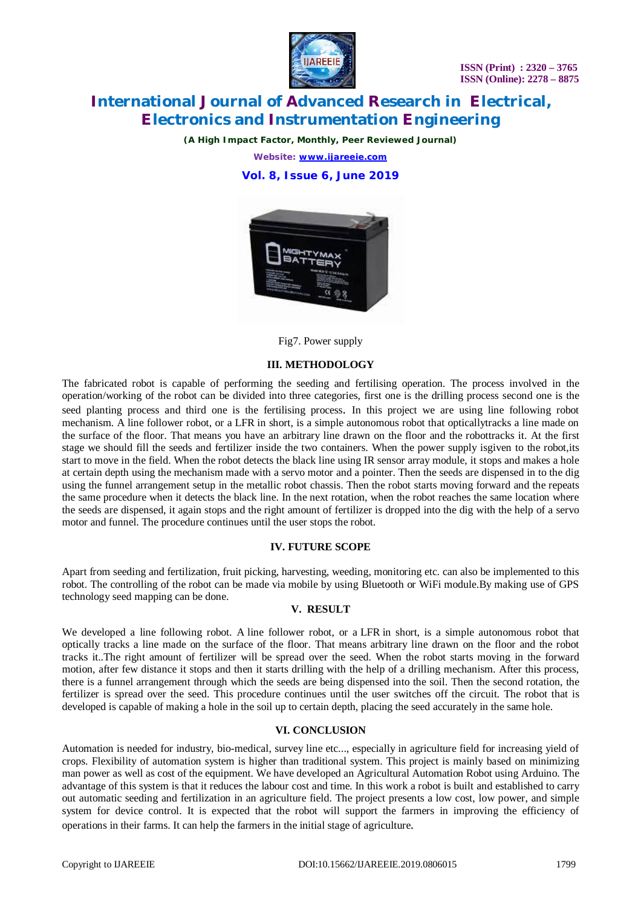

*(A High Impact Factor, Monthly, Peer Reviewed Journal)*

*Website: [www.ijareeie.com](http://www.ijareeie.com)*

**Vol. 8, Issue 6, June 2019**



Fig7. Power supply

#### **III. METHODOLOGY**

The fabricated robot is capable of performing the seeding and fertilising operation. The process involved in the operation/working of the robot can be divided into three categories, first one is the drilling process second one is the seed planting process and third one is the fertilising process. In this project we are using line following robot mechanism. A line follower robot, or a LFR in short, is a simple autonomous robot that opticallytracks a line made on the surface of the floor. That means you have an arbitrary line drawn on the floor and the robottracks it. At the first stage we should fill the seeds and fertilizer inside the two containers. When the power supply isgiven to the robot,its start to move in the field. When the robot detects the black line using IR sensor array module, it stops and makes a hole at certain depth using the mechanism made with a servo motor and a pointer. Then the seeds are dispensed in to the dig using the funnel arrangement setup in the metallic robot chassis. Then the robot starts moving forward and the repeats the same procedure when it detects the black line. In the next rotation, when the robot reaches the same location where the seeds are dispensed, it again stops and the right amount of fertilizer is dropped into the dig with the help of a servo motor and funnel. The procedure continues until the user stops the robot.

#### **IV. FUTURE SCOPE**

Apart from seeding and fertilization, fruit picking, harvesting, weeding, monitoring etc. can also be implemented to this robot. The controlling of the robot can be made via mobile by using Bluetooth or WiFi module.By making use of GPS technology seed mapping can be done.

#### **V. RESULT**

We developed a line following robot. A line follower robot, or a LFR in short, is a simple autonomous robot that optically tracks a line made on the surface of the floor. That means arbitrary line drawn on the floor and the robot tracks it..The right amount of fertilizer will be spread over the seed. When the robot starts moving in the forward motion, after few distance it stops and then it starts drilling with the help of a drilling mechanism. After this process, there is a funnel arrangement through which the seeds are being dispensed into the soil. Then the second rotation, the fertilizer is spread over the seed. This procedure continues until the user switches off the circuit. The robot that is developed is capable of making a hole in the soil up to certain depth, placing the seed accurately in the same hole.

#### **VI. CONCLUSION**

Automation is needed for industry, bio-medical, survey line etc..., especially in agriculture field for increasing yield of crops. Flexibility of automation system is higher than traditional system. This project is mainly based on minimizing man power as well as cost of the equipment. We have developed an Agricultural Automation Robot using Arduino. The advantage of this system is that it reduces the labour cost and time. In this work a robot is built and established to carry out automatic seeding and fertilization in an agriculture field. The project presents a low cost, low power, and simple system for device control. It is expected that the robot will support the farmers in improving the efficiency of operations in their farms. It can help the farmers in the initial stage of agriculture.